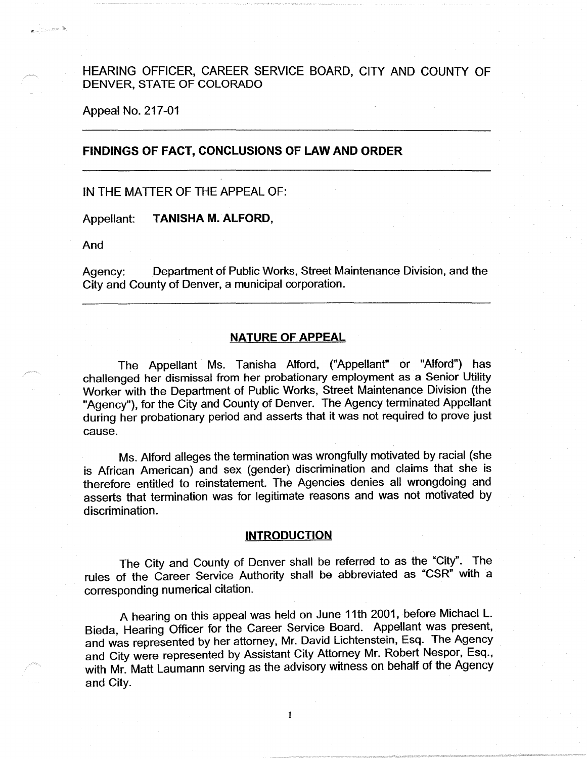## HEARING OFFICER, CAREER SERVICE BOARD, CITY AND COUNTY OF DENVER, STATE OF COLORADO

Appeal No. 217-01

### **FINDINGS OF FACT, CONCLUSIONS OF LAW AND ORDER**

### IN THE MATTER OF THE APPEAL OF:

Appellant: **TANISHA M. ALFORD,** 

And

والمستسلم

Agency: Department of Public Works, Street Maintenance Division, and the City and County of Denver, a municipal corporation.

### **NATURE OF APPEAL**

The Appellant Ms. Tanisha Alford, ("Appellant" or "Alford") has challenged her dismissal from her probationary employment as a Senior Utility Worker with the Department of Public Works, Street Maintenance Division (the "Agency"), for the City and County of Denver. The Agency terminated Appellant during her probationary period and asserts that it was not required to prove just cause.

Ms. Alford alleges the termination was wrongfully motivated by racial (she is African American) and sex (gender) discrimination and claims that she is therefore entitled to reinstatement. The Agencies denies all wrongdoing and asserts that termination was for legitimate reasons and was not motivated by discrimination.

### **INTRODUCTION**

The City and County of Denver shall be referred to as the "City". The rules of the Career Service Authority shall be abbreviated as "CSR" with a corresponding numerical citation.

A hearing on this appeal was held on June 11th 2001, before Michael L. Bieda, Hearing Officer for the Career Service Board. Appellant was present, and was represented by her attorney, Mr. David Lichtenstein, Esq. The Agency and City were represented by Assistant City Attorney Mr. Robert Nespor, Esq., with Mr. Matt Laumann serving as the advisory witness on behalf of the Agency and City.

 $\mathbf{1}$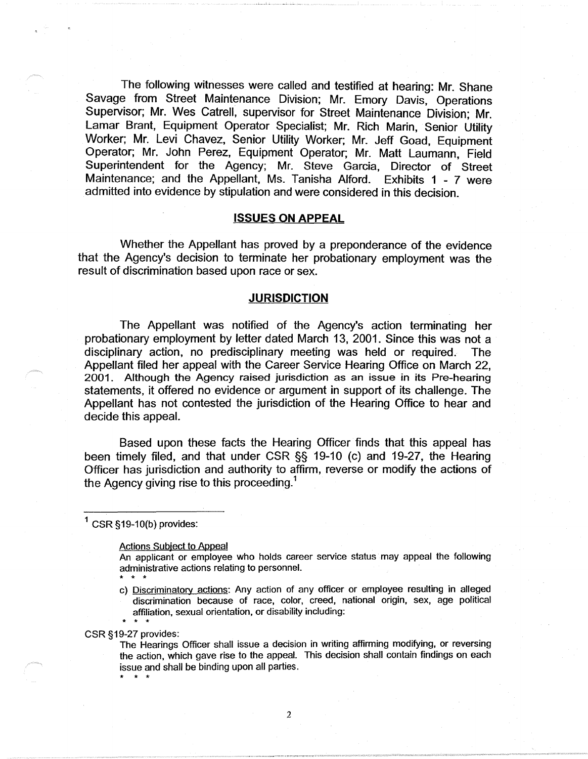The following witnesses were called and testified at hearing: Mr. Shane Savage from Street Maintenance Division; Mr. Emory Davis, Operations Supervisor; Mr. Wes Gatrell, supervisor for Street Maintenance Division; Mr. Lamar Brant, Equipment Operator Specialist; Mr. Rich Marin, Senior Utility Worker; Mr. Levi Chavez, Senior Utility Worker; Mr. Jeff Goad, Equipment Operator; Mr. John Perez, Equipment Operator; Mr. Matt Laumann, Field Superintendent for the Agency; Mr. Steve Garcia, Director of Street Maintenance; and the Appellant, Ms. Tanisha Alford. Exhibits 1 - 7 were admitted into evidence by stipulation and were considered in this decision.

#### **ISSUES ON APPEAL**

Whether the Appellant has proved by a preponderance of the evidence that the Agency's decision to terminate her probationary employment was the result of discrimination based upon race or sex.

#### **JURISDICTION**

The Appellant was notified of the Agency's action terminating her probationary employment by letter dated March 13, 2001. Since this was not a disciplinary action, no predisciplinary meeting was held or required. The Appellant filed her appeal with the Career Service Hearing Office on March 22, 2001. Although the Agency raised jurisdiction as an issue in its Pre-hearing statements, it offered no evidence or argument in support of its challenge. The Appellant has not contested the jurisdiction of the Hearing Office to hear and decide this appeal.

Based upon these facts the Hearing Officer finds that this appeal has been timely filed, and that under CSR §§ 19-10 (c) and 19-27, the Hearing Officer has jurisdiction and authority to affirm, reverse or modify the actions of the Agency giving rise to this proceeding.<sup>1</sup>

 $1$  CSR § 19-10(b) provides:

#### Actions Subject to Appeal

An applicant or employee who holds career service status may appeal the following administrative actions relating to personnel.

c) Discriminatory actions: Any action of any officer or employee resulting in alleged discrimination because of race, color, creed, national origin, sex, age political affiliation, sexual orientation, or disability including:

\* \* \* CSR §19-27 provides:

\* \* \*

\* \* \*

The Hearings Officer shall issue a decision in writing affirming modifying, or reversing the action, which gave rise to the appeal. This decision shall contain findings on each issue and shall be binding upon all parties.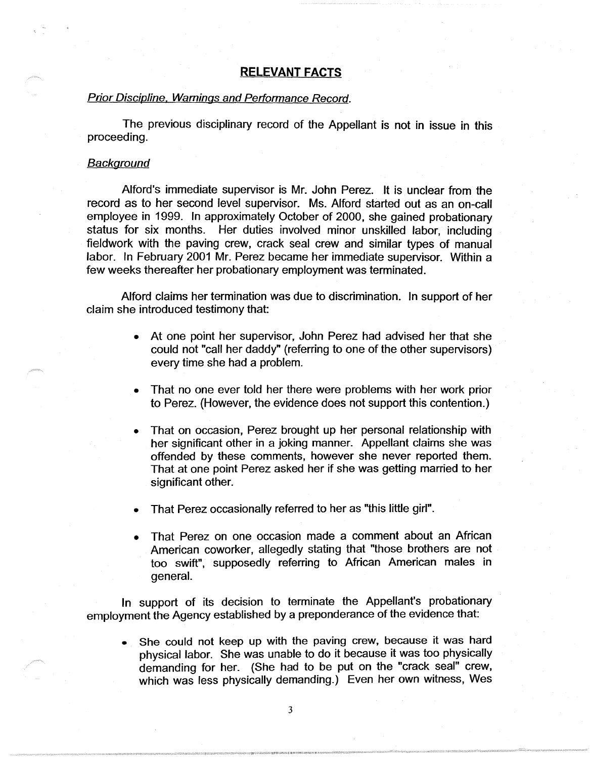## **RELEVANT FACTS**

### Prior Discipline, Warnings and Performance Record.

The previous disciplinary record of the Appellant is not in issue in this proceeding.

### **Background**

Alford's immediate supervisor is Mr. John Perez. It is unclear from the record as to her second level supervisor. Ms. Alford started out as an on-call employee in 1999. In approximately October of 2000, she gained probationary status for six months. Her duties involved minor unskilled labor, including fieldwork with the paving crew, crack seal crew and similar types of manual labor. In February 2001 Mr. Perez became her immediate supervisor. Within a few weeks thereafter her probationary employment was terminated.

Alford claims her termination was due to discrimination. In support of her claim she introduced testimony that:

- At one point her supervisor, John Perez had advised her that she could not "call her daddy" (referring to one of the other supervisors) every time she had a problem.
- That no one ever told her there were problems with her work prior to Perez. (However, the evidence does not support this contention.)
- That on occasion, Perez brought up her personal relationship with her significant other in a joking manner. Appellant claims she was offended by these comments, however she never reported them. That at one point Perez asked her if she was getting married to her significant other.
- That Perez occasionally referred to her as "this little girl".
- That Perez on one occasion made a comment about an African American coworker, allegedly stating that "those brothers are not too swift", supposedly referring to African American males in general.

In support of its decision to terminate the Appellant's probationary employment the Agency established by a preponderance of the evidence that:

She could not keep up with the paving crew, because it was hard physical labor. She was unable to do it because it was too physically demanding for her. (She had to be put on the "crack seal" crew, which was less physically demanding.) Even her own witness, Wes

3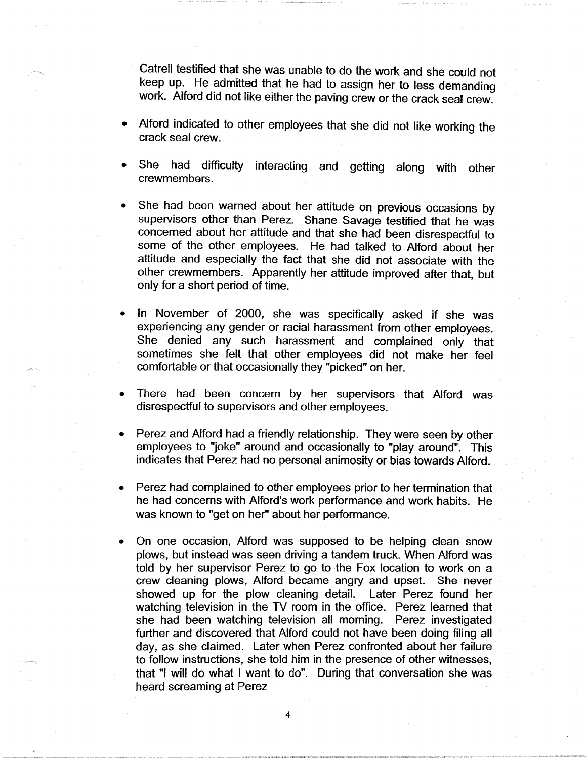Gatrell testified that she was unable to do the work and she could not keep up. He admitted that he had to assign her to less demanding work. Alford did not like either the paving crew or the crack seal crew.

- Alford indicated to other employees that she did not like working the crack seal crew.
- She had difficulty interacting and getting along with other crewmembers.
- She had been warned about her attitude on previous occasions by supervisors other than Perez. Shane Savage testified that he was concerned about her attitude and that she had been disrespectful to some of the other employees. He had talked to Alford about her attitude and especially the fact that she did not associate with the other crewmembers. Apparently her attitude improved after that, but only for a short period of time.
- In November of 2000, she was specifically asked if she was experiencing any gender or racial harassment from other employees. She denied any such harassment and complained only that sometimes she felt that other employees did not make her feel comfortable or that occasionally they "picked" on her.
- There had been concern by her supervisors that Alford was disrespectful to supervisors and other employees.
- Perez and Alford had a friendly relationship. They were seen by other employees to "joke" around and occasionally to "play around". This indicates that Perez had no personal animosity or bias towards Alford.
- Perez had complained to other employees prior to her termination that he had concerns with Alford's work performance and work habits. He was known to "get on her" about her performance.
- On one occasion, Alford was supposed to be helping clean snow plows, but instead was seen driving a tandem truck. When Alford was told by her supervisor Perez to go to the Fox location to work on a crew cleaning plows, Alford became angry and upset. She never showed up for the plow cleaning detail. Later Perez found her watching television in the TV room in the office. Perez learned that she had been watching television all morning. Perez investigated further and discovered that Alford could not have been doing filing all day, as she claimed. Later when Perez confronted about her failure to follow instructions, she told him in the presence of other witnesses, that "I will do what I want to do". During that conversation she was heard screaming at Perez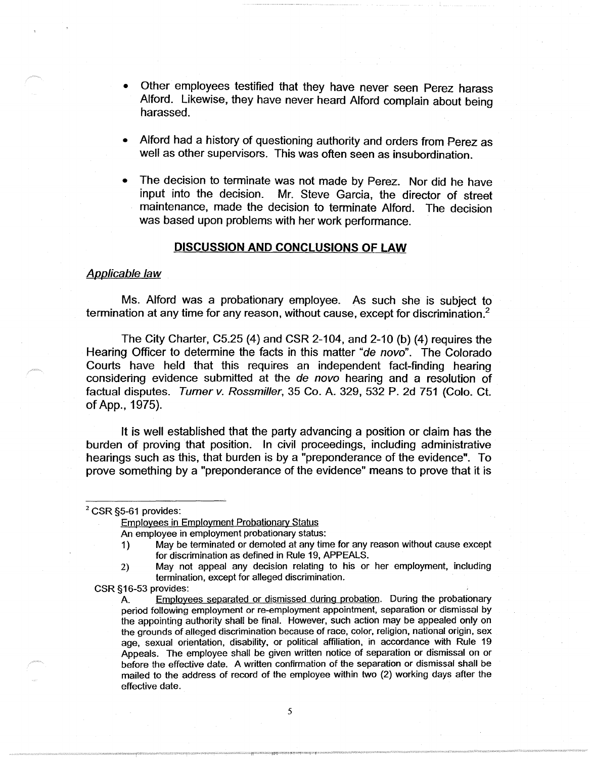- Other employees testified that they have never seen Perez harass Alford. Likewise, they have never heard Alford complain about being harassed.
- Alford had a history of questioning authority and orders from Perez as well as other supervisors. This was often seen as insubordination.
- The decision to terminate was not made by Perez. Nor did he have input into the decision. Mr. Steve Garcia, the director of street maintenance, made the decision to terminate Alford. The decision was based upon problems with her work performance.

#### **DISCUSSION AND CONCLUSIONS OF LAW**

#### Applicable law

Ms. Alford was a probationary employee. As such she is subject to termination at any time for any reason, without cause, except for discrimination.<sup>2</sup>

The City Charter, C5.25 (4) and CSR 2-104, and 2-10 (b) (4) requires the Hearing Officer to determine the facts in this matter "de novo". The Colorado Courts have held that this requires an independent fact-finding hearing considering evidence submitted at the de novo hearing and a resolution of factual disputes. Turner v. Rossmiller, 35 Co. A. 329, 532 P. 2d 751 (Colo. Ct. of App., 1975).

It is well established that the party advancing a position or claim has the burden of proving that position. In civil proceedings, including administrative hearings such as this, that burden is by a "preponderance of the evidence". To prove something by a "preponderance of the evidence" means to prove that it is

# <sup>2</sup> CSR §5-61 provides:

Employees in Employment Probationary Status

- An employee in employment probationary status:
- 1) May be terminated or demoted at any time for any reason without cause except for discrimination as defined in Rule 19, APPEALS.
- 2) May not appeal any decision relating to his or her employment, including termination, except for alleged discrimination.

CSR §16-53 provides:

A. Employees separated or dismissed during probation. During the probationary period following employment or re-employment appointment, separation or dismissal by the appointing authority shall be final. However, such action may be appealed only on the grounds of alleged discrimination because of race, color, religion, national origin, sex age, sexual orientation, disability, or political affiliation, in accordance with Rule 19 Appeals. The employee shall be given written notice of separation or dismissal on or before the effective date. A written confirmation of the separation or dismissal shall be mailed to the address of record of the employee within two (2) working days after the effective date.

5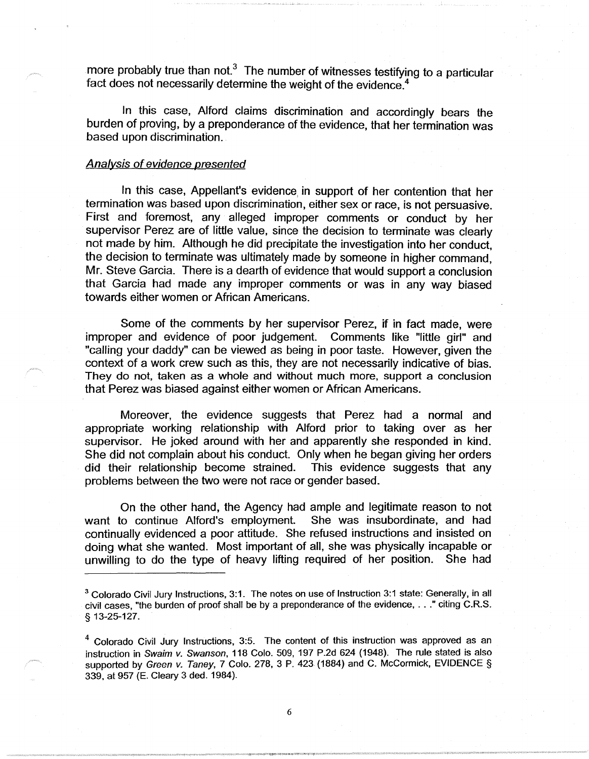more probably true than not. $3$  The number of witnesses testifying to a particular fact does not necessarily determine the weight of the evidence.<sup>4</sup>

In this case, Alford claims discrimination and accordingly bears the burden of proving, by a preponderance of the evidence, that her termination was based upon discrimination.

#### Analysis of evidence presented

In this case, Appellant's evidence, in support of her contention that her termination was based upon discrimination, either sex or race, is not persuasive. First and foremost, any alleged improper comments or conduct by her supervisor Perez are of little value, since the decision to terminate was clearly not made by him. Although he did precipitate the investigation into her conduct, the decision to terminate was ultimately made by someone in higher command, Mr. Steve Garcia. There is a dearth of evidence that would support a conclusion that Garcia had made any improper comments or was in any way biased towards either women or African Americans.

Some of the comments by her supervisor Perez, if in fact made, were improper and evidence of poor judgement. Comments like "little girl" and "calling your daddy" can be viewed as being in poor taste. However, given the context of a work crew such as this, they are not necessarily indicative of bias. They do not, taken as a whole and without much more, support a conclusion that Perez was biased against either women or African Americans.

Moreover, the evidence suggests that Perez had a normal and appropriate working relationship with Alford prior to taking over as her supervisor. He joked around with her and apparently she responded in kind. She did not complain about his conduct. Only when he began giving her orders did their relationship become strained. This evidence suggests that any problems between the two were not race or gender based.

On the other hand, the Agency had ample and legitimate reason to not want to continue Alford's employment. She was insubordinate, and had continually evidenced a poor attitude. She refused instructions and insisted on doing what she wanted. Most important of all, she was physically incapable or unwilling to do the type of heavy lifting required of her position. She had

<sup>3</sup> Colorado Civil Jury Instructions, 3:1. The notes on use of Instruction 3:1 state: Generally, in all civil cases, "the burden of proof shall be by a preponderance of the evidence, ... " citing C.R.S. § 13-25-127.

 $4$  Colorado Civil Jury Instructions, 3:5. The content of this instruction was approved as an instruction in Swaim v. Swanson, 118 Colo. 509, 197 P.2d 624 {1948). The rule stated is also supported by Green v. Taney, 7 Colo. 278, 3 P. 423 (1884) and C. McCormick, EVIDENCE § 339, at 957 {E. Cleary 3 ded. 1984).